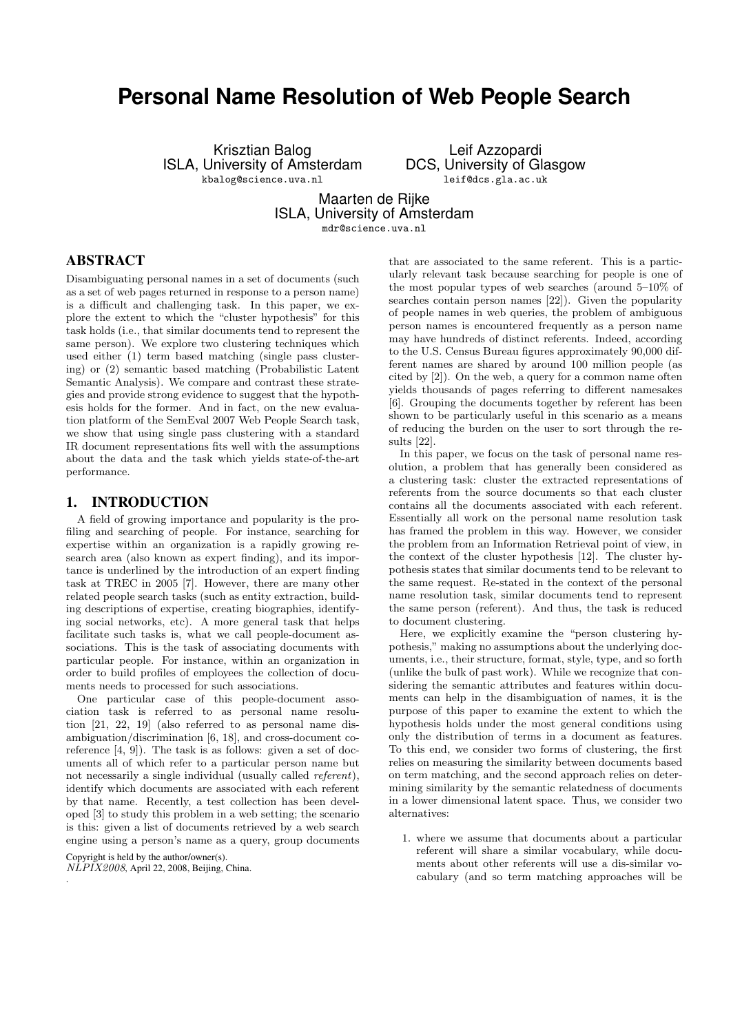# **Personal Name Resolution of Web People Search**

Krisztian Balog ISLA, University of Amsterdam kbalog@science.uva.nl

Leif Azzopardi DCS, University of Glasgow leif@dcs.gla.ac.uk

## Maarten de Rijke ISLA, University of Amsterdam mdr@science.uva.nl

# ABSTRACT

Disambiguating personal names in a set of documents (such as a set of web pages returned in response to a person name) is a difficult and challenging task. In this paper, we explore the extent to which the "cluster hypothesis" for this task holds (i.e., that similar documents tend to represent the same person). We explore two clustering techniques which used either (1) term based matching (single pass clustering) or (2) semantic based matching (Probabilistic Latent Semantic Analysis). We compare and contrast these strategies and provide strong evidence to suggest that the hypothesis holds for the former. And in fact, on the new evaluation platform of the SemEval 2007 Web People Search task, we show that using single pass clustering with a standard IR document representations fits well with the assumptions about the data and the task which yields state-of-the-art performance.

# 1. INTRODUCTION

A field of growing importance and popularity is the profiling and searching of people. For instance, searching for expertise within an organization is a rapidly growing research area (also known as expert finding), and its importance is underlined by the introduction of an expert finding task at TREC in 2005 [7]. However, there are many other related people search tasks (such as entity extraction, building descriptions of expertise, creating biographies, identifying social networks, etc). A more general task that helps facilitate such tasks is, what we call people-document associations. This is the task of associating documents with particular people. For instance, within an organization in order to build profiles of employees the collection of documents needs to processed for such associations.

One particular case of this people-document association task is referred to as personal name resolution [21, 22, 19] (also referred to as personal name disambiguation/discrimination [6, 18], and cross-document coreference [4, 9]). The task is as follows: given a set of documents all of which refer to a particular person name but not necessarily a single individual (usually called referent), identify which documents are associated with each referent by that name. Recently, a test collection has been developed [3] to study this problem in a web setting; the scenario is this: given a list of documents retrieved by a web search engine using a person's name as a query, group documents

Copyright is held by the author/owner(s).

 $NLPIX2008$ , April 22, 2008, Beijing, China. .

that are associated to the same referent. This is a particularly relevant task because searching for people is one of the most popular types of web searches (around 5–10% of searches contain person names [22]). Given the popularity of people names in web queries, the problem of ambiguous person names is encountered frequently as a person name may have hundreds of distinct referents. Indeed, according to the U.S. Census Bureau figures approximately 90,000 different names are shared by around 100 million people (as cited by [2]). On the web, a query for a common name often yields thousands of pages referring to different namesakes [6]. Grouping the documents together by referent has been shown to be particularly useful in this scenario as a means of reducing the burden on the user to sort through the results [22].

In this paper, we focus on the task of personal name resolution, a problem that has generally been considered as a clustering task: cluster the extracted representations of referents from the source documents so that each cluster contains all the documents associated with each referent. Essentially all work on the personal name resolution task has framed the problem in this way. However, we consider the problem from an Information Retrieval point of view, in the context of the cluster hypothesis [12]. The cluster hypothesis states that similar documents tend to be relevant to the same request. Re-stated in the context of the personal name resolution task, similar documents tend to represent the same person (referent). And thus, the task is reduced to document clustering.

Here, we explicitly examine the "person clustering hypothesis," making no assumptions about the underlying documents, i.e., their structure, format, style, type, and so forth (unlike the bulk of past work). While we recognize that considering the semantic attributes and features within documents can help in the disambiguation of names, it is the purpose of this paper to examine the extent to which the hypothesis holds under the most general conditions using only the distribution of terms in a document as features. To this end, we consider two forms of clustering, the first relies on measuring the similarity between documents based on term matching, and the second approach relies on determining similarity by the semantic relatedness of documents in a lower dimensional latent space. Thus, we consider two alternatives:

1. where we assume that documents about a particular referent will share a similar vocabulary, while documents about other referents will use a dis-similar vocabulary (and so term matching approaches will be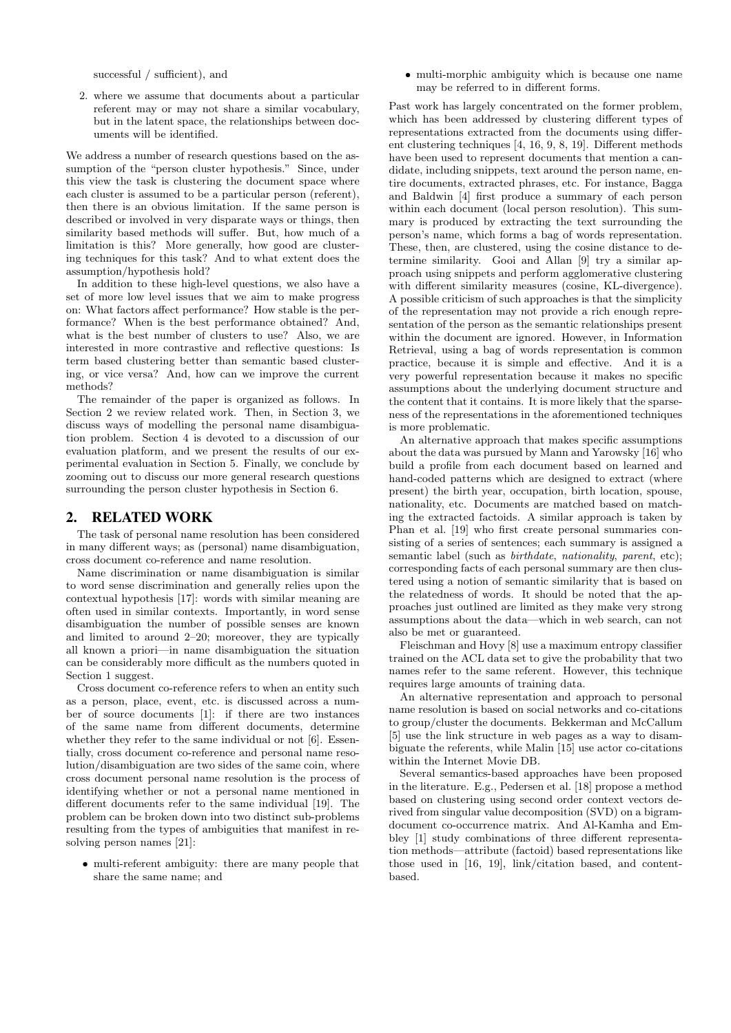successful / sufficient), and

2. where we assume that documents about a particular referent may or may not share a similar vocabulary, but in the latent space, the relationships between documents will be identified.

We address a number of research questions based on the assumption of the "person cluster hypothesis." Since, under this view the task is clustering the document space where each cluster is assumed to be a particular person (referent), then there is an obvious limitation. If the same person is described or involved in very disparate ways or things, then similarity based methods will suffer. But, how much of a limitation is this? More generally, how good are clustering techniques for this task? And to what extent does the assumption/hypothesis hold?

In addition to these high-level questions, we also have a set of more low level issues that we aim to make progress on: What factors affect performance? How stable is the performance? When is the best performance obtained? And, what is the best number of clusters to use? Also, we are interested in more contrastive and reflective questions: Is term based clustering better than semantic based clustering, or vice versa? And, how can we improve the current methods?

The remainder of the paper is organized as follows. In Section 2 we review related work. Then, in Section 3, we discuss ways of modelling the personal name disambiguation problem. Section 4 is devoted to a discussion of our evaluation platform, and we present the results of our experimental evaluation in Section 5. Finally, we conclude by zooming out to discuss our more general research questions surrounding the person cluster hypothesis in Section 6.

# 2. RELATED WORK

The task of personal name resolution has been considered in many different ways; as (personal) name disambiguation, cross document co-reference and name resolution.

Name discrimination or name disambiguation is similar to word sense discrimination and generally relies upon the contextual hypothesis [17]: words with similar meaning are often used in similar contexts. Importantly, in word sense disambiguation the number of possible senses are known and limited to around 2–20; moreover, they are typically all known a priori—in name disambiguation the situation can be considerably more difficult as the numbers quoted in Section 1 suggest.

Cross document co-reference refers to when an entity such as a person, place, event, etc. is discussed across a number of source documents [1]: if there are two instances of the same name from different documents, determine whether they refer to the same individual or not [6]. Essentially, cross document co-reference and personal name resolution/disambiguation are two sides of the same coin, where cross document personal name resolution is the process of identifying whether or not a personal name mentioned in different documents refer to the same individual [19]. The problem can be broken down into two distinct sub-problems resulting from the types of ambiguities that manifest in resolving person names [21]:

• multi-referent ambiguity: there are many people that share the same name; and

• multi-morphic ambiguity which is because one name may be referred to in different forms.

Past work has largely concentrated on the former problem, which has been addressed by clustering different types of representations extracted from the documents using different clustering techniques [4, 16, 9, 8, 19]. Different methods have been used to represent documents that mention a candidate, including snippets, text around the person name, entire documents, extracted phrases, etc. For instance, Bagga and Baldwin [4] first produce a summary of each person within each document (local person resolution). This summary is produced by extracting the text surrounding the person's name, which forms a bag of words representation. These, then, are clustered, using the cosine distance to determine similarity. Gooi and Allan [9] try a similar approach using snippets and perform agglomerative clustering with different similarity measures (cosine, KL-divergence). A possible criticism of such approaches is that the simplicity of the representation may not provide a rich enough representation of the person as the semantic relationships present within the document are ignored. However, in Information Retrieval, using a bag of words representation is common practice, because it is simple and effective. And it is a very powerful representation because it makes no specific assumptions about the underlying document structure and the content that it contains. It is more likely that the sparseness of the representations in the aforementioned techniques is more problematic.

An alternative approach that makes specific assumptions about the data was pursued by Mann and Yarowsky [16] who build a profile from each document based on learned and hand-coded patterns which are designed to extract (where present) the birth year, occupation, birth location, spouse, nationality, etc. Documents are matched based on matching the extracted factoids. A similar approach is taken by Phan et al. [19] who first create personal summaries consisting of a series of sentences; each summary is assigned a semantic label (such as *birthdate, nationality, parent, etc*); corresponding facts of each personal summary are then clustered using a notion of semantic similarity that is based on the relatedness of words. It should be noted that the approaches just outlined are limited as they make very strong assumptions about the data—which in web search, can not also be met or guaranteed.

Fleischman and Hovy [8] use a maximum entropy classifier trained on the ACL data set to give the probability that two names refer to the same referent. However, this technique requires large amounts of training data.

An alternative representation and approach to personal name resolution is based on social networks and co-citations to group/cluster the documents. Bekkerman and McCallum [5] use the link structure in web pages as a way to disambiguate the referents, while Malin [15] use actor co-citations within the Internet Movie DB.

Several semantics-based approaches have been proposed in the literature. E.g., Pedersen et al. [18] propose a method based on clustering using second order context vectors derived from singular value decomposition (SVD) on a bigramdocument co-occurrence matrix. And Al-Kamha and Embley [1] study combinations of three different representation methods—attribute (factoid) based representations like those used in [16, 19], link/citation based, and contentbased.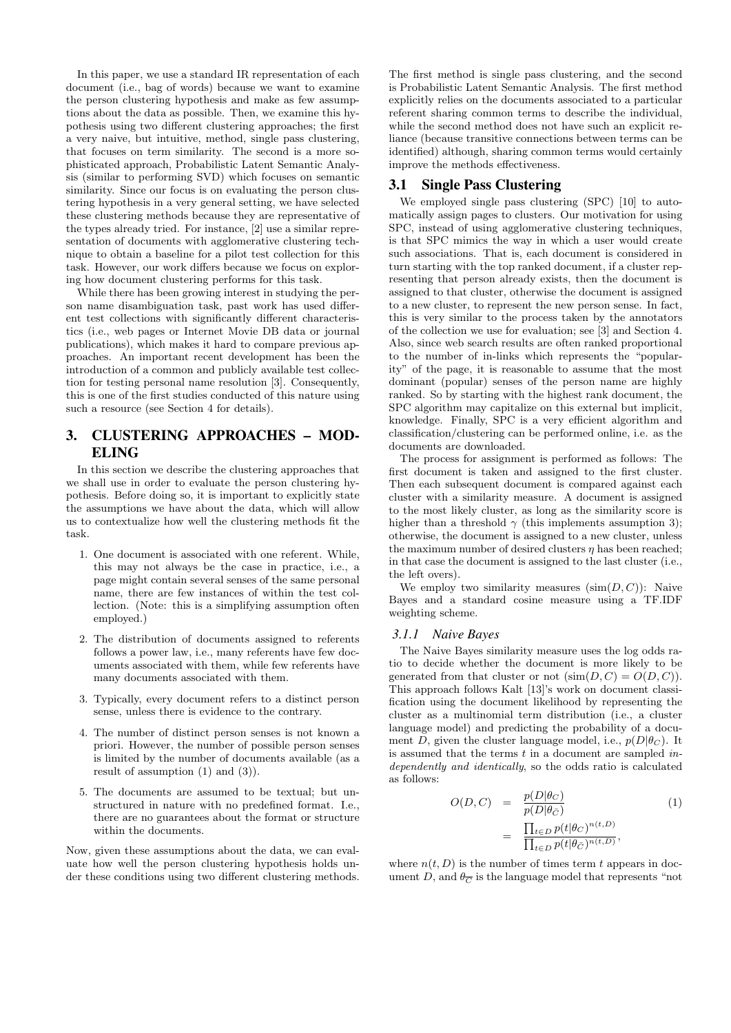In this paper, we use a standard IR representation of each document (i.e., bag of words) because we want to examine the person clustering hypothesis and make as few assumptions about the data as possible. Then, we examine this hypothesis using two different clustering approaches; the first a very naive, but intuitive, method, single pass clustering, that focuses on term similarity. The second is a more sophisticated approach, Probabilistic Latent Semantic Analysis (similar to performing SVD) which focuses on semantic similarity. Since our focus is on evaluating the person clustering hypothesis in a very general setting, we have selected these clustering methods because they are representative of the types already tried. For instance, [2] use a similar representation of documents with agglomerative clustering technique to obtain a baseline for a pilot test collection for this task. However, our work differs because we focus on exploring how document clustering performs for this task.

While there has been growing interest in studying the person name disambiguation task, past work has used different test collections with significantly different characteristics (i.e., web pages or Internet Movie DB data or journal publications), which makes it hard to compare previous approaches. An important recent development has been the introduction of a common and publicly available test collection for testing personal name resolution [3]. Consequently, this is one of the first studies conducted of this nature using such a resource (see Section 4 for details).

# 3. CLUSTERING APPROACHES – MOD-ELING

In this section we describe the clustering approaches that we shall use in order to evaluate the person clustering hypothesis. Before doing so, it is important to explicitly state the assumptions we have about the data, which will allow us to contextualize how well the clustering methods fit the task.

- 1. One document is associated with one referent. While, this may not always be the case in practice, i.e., a page might contain several senses of the same personal name, there are few instances of within the test collection. (Note: this is a simplifying assumption often employed.)
- 2. The distribution of documents assigned to referents follows a power law, i.e., many referents have few documents associated with them, while few referents have many documents associated with them.
- 3. Typically, every document refers to a distinct person sense, unless there is evidence to the contrary.
- 4. The number of distinct person senses is not known a priori. However, the number of possible person senses is limited by the number of documents available (as a result of assumption (1) and (3)).
- 5. The documents are assumed to be textual; but unstructured in nature with no predefined format. I.e., there are no guarantees about the format or structure within the documents.

Now, given these assumptions about the data, we can evaluate how well the person clustering hypothesis holds under these conditions using two different clustering methods. The first method is single pass clustering, and the second is Probabilistic Latent Semantic Analysis. The first method explicitly relies on the documents associated to a particular referent sharing common terms to describe the individual, while the second method does not have such an explicit reliance (because transitive connections between terms can be identified) although, sharing common terms would certainly improve the methods effectiveness.

# 3.1 Single Pass Clustering

We employed single pass clustering (SPC) [10] to automatically assign pages to clusters. Our motivation for using SPC, instead of using agglomerative clustering techniques, is that SPC mimics the way in which a user would create such associations. That is, each document is considered in turn starting with the top ranked document, if a cluster representing that person already exists, then the document is assigned to that cluster, otherwise the document is assigned to a new cluster, to represent the new person sense. In fact, this is very similar to the process taken by the annotators of the collection we use for evaluation; see [3] and Section 4. Also, since web search results are often ranked proportional to the number of in-links which represents the "popularity" of the page, it is reasonable to assume that the most dominant (popular) senses of the person name are highly ranked. So by starting with the highest rank document, the SPC algorithm may capitalize on this external but implicit, knowledge. Finally, SPC is a very efficient algorithm and classification/clustering can be performed online, i.e. as the documents are downloaded.

The process for assignment is performed as follows: The first document is taken and assigned to the first cluster. Then each subsequent document is compared against each cluster with a similarity measure. A document is assigned to the most likely cluster, as long as the similarity score is higher than a threshold  $\gamma$  (this implements assumption 3); otherwise, the document is assigned to a new cluster, unless the maximum number of desired clusters  $\eta$  has been reached; in that case the document is assigned to the last cluster (i.e., the left overs).

We employ two similarity measures  $(\text{sim}(D, C))$ : Naive Bayes and a standard cosine measure using a TF.IDF weighting scheme.

#### *3.1.1 Naive Bayes*

The Naive Bayes similarity measure uses the log odds ratio to decide whether the document is more likely to be generated from that cluster or not  $(\text{sim}(D, C) = O(D, C)).$ This approach follows Kalt [13]'s work on document classification using the document likelihood by representing the cluster as a multinomial term distribution (i.e., a cluster language model) and predicting the probability of a document D, given the cluster language model, i.e.,  $p(D|\theta_C)$ . It is assumed that the terms  $t$  in a document are sampled  $in$ dependently and identically, so the odds ratio is calculated as follows:

$$
O(D, C) = \frac{p(D|\theta_C)}{p(D|\theta_{\bar{C}})}
$$
  
= 
$$
\frac{\prod_{t \in D} p(t|\theta_C)^{n(t, D)}}{\prod_{t \in D} p(t|\theta_{\bar{C}})^{n(t, D)}},
$$
 (1)

where  $n(t, D)$  is the number of times term t appears in document D, and  $\theta_{\overline{C}}$  is the language model that represents "not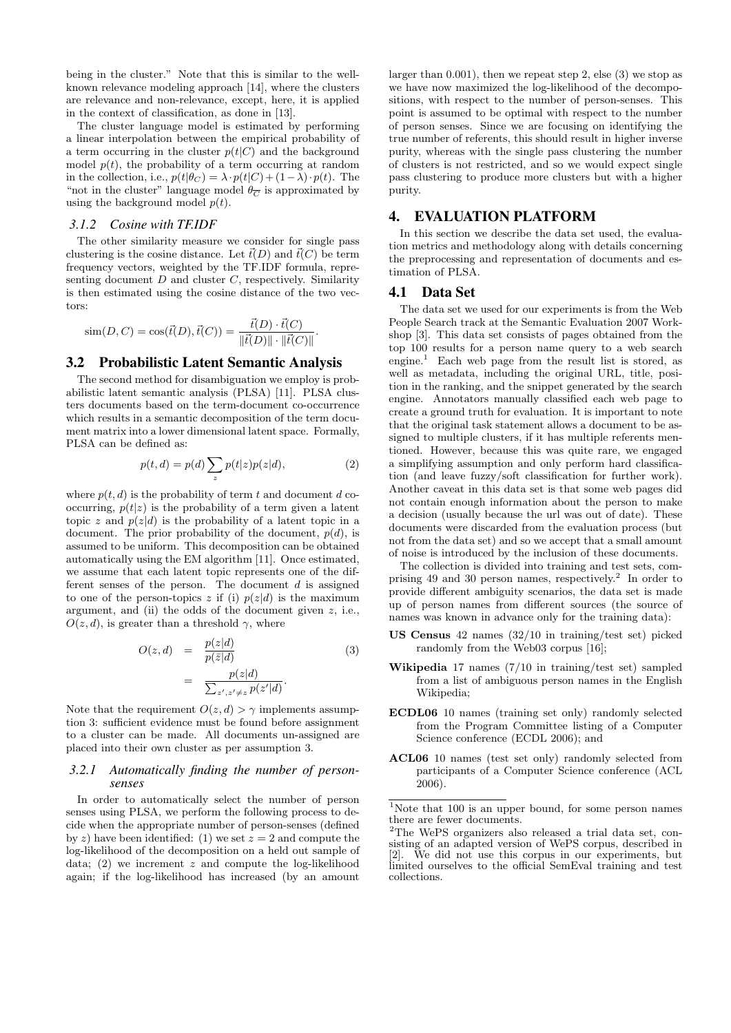being in the cluster." Note that this is similar to the wellknown relevance modeling approach [14], where the clusters are relevance and non-relevance, except, here, it is applied in the context of classification, as done in [13].

The cluster language model is estimated by performing a linear interpolation between the empirical probability of a term occurring in the cluster  $p(t|C)$  and the background model  $p(t)$ , the probability of a term occurring at random in the collection, i.e.,  $p(t|\theta_C) = \lambda \cdot p(t|C) + (1-\lambda) \cdot p(t)$ . The "not in the cluster" language model  $\theta_{\overline{C}}$  is approximated by using the background model  $p(t)$ .

## *3.1.2 Cosine with TF.IDF*

The other similarity measure we consider for single pass clustering is the cosine distance. Let  $\vec{t}(D)$  and  $\vec{t}(C)$  be term frequency vectors, weighted by the TF.IDF formula, representing document  $D$  and cluster  $C$ , respectively. Similarity is then estimated using the cosine distance of the two vectors:

$$
\text{sim}(D, C) = \cos(\vec{t}(D), \vec{t}(C)) = \frac{\vec{t}(D) \cdot \vec{t}(C)}{\|\vec{t}(D)\| \cdot \|\vec{t}(C)\|}.
$$

## 3.2 Probabilistic Latent Semantic Analysis

The second method for disambiguation we employ is probabilistic latent semantic analysis (PLSA) [11]. PLSA clusters documents based on the term-document co-occurrence which results in a semantic decomposition of the term document matrix into a lower dimensional latent space. Formally, PLSA can be defined as:

$$
p(t,d) = p(d) \sum_{z} p(t|z)p(z|d),
$$
\n(2)

where  $p(t, d)$  is the probability of term t and document d cooccurring,  $p(t|z)$  is the probability of a term given a latent topic z and  $p(z|d)$  is the probability of a latent topic in a document. The prior probability of the document,  $p(d)$ , is assumed to be uniform. This decomposition can be obtained automatically using the EM algorithm [11]. Once estimated, we assume that each latent topic represents one of the different senses of the person. The document  $d$  is assigned to one of the person-topics z if (i)  $p(z|d)$  is the maximum argument, and (ii) the odds of the document given z, i.e.,  $O(z, d)$ , is greater than a threshold  $\gamma$ , where

$$
O(z, d) = \frac{p(z|d)}{p(\bar{z}|d)}
$$
(3)  

$$
= \frac{p(z|d)}{\sum_{z',z'\neq z} p(z'|d)}.
$$

Note that the requirement  $O(z, d) > \gamma$  implements assumption 3: sufficient evidence must be found before assignment to a cluster can be made. All documents un-assigned are placed into their own cluster as per assumption 3.

#### *3.2.1 Automatically finding the number of personsenses*

In order to automatically select the number of person senses using PLSA, we perform the following process to decide when the appropriate number of person-senses (defined by z) have been identified: (1) we set  $z = 2$  and compute the log-likelihood of the decomposition on a held out sample of data;  $(2)$  we increment z and compute the log-likelihood again; if the log-likelihood has increased (by an amount

larger than 0.001), then we repeat step 2, else (3) we stop as we have now maximized the log-likelihood of the decompositions, with respect to the number of person-senses. This point is assumed to be optimal with respect to the number of person senses. Since we are focusing on identifying the true number of referents, this should result in higher inverse purity, whereas with the single pass clustering the number of clusters is not restricted, and so we would expect single pass clustering to produce more clusters but with a higher purity.

## 4. EVALUATION PLATFORM

In this section we describe the data set used, the evaluation metrics and methodology along with details concerning the preprocessing and representation of documents and estimation of PLSA.

## 4.1 Data Set

The data set we used for our experiments is from the Web People Search track at the Semantic Evaluation 2007 Workshop [3]. This data set consists of pages obtained from the top 100 results for a person name query to a web search engine.<sup>1</sup> Each web page from the result list is stored, as well as metadata, including the original URL, title, position in the ranking, and the snippet generated by the search engine. Annotators manually classified each web page to create a ground truth for evaluation. It is important to note that the original task statement allows a document to be assigned to multiple clusters, if it has multiple referents mentioned. However, because this was quite rare, we engaged a simplifying assumption and only perform hard classification (and leave fuzzy/soft classification for further work). Another caveat in this data set is that some web pages did not contain enough information about the person to make a decision (usually because the url was out of date). These documents were discarded from the evaluation process (but not from the data set) and so we accept that a small amount of noise is introduced by the inclusion of these documents.

The collection is divided into training and test sets, comprising 49 and 30 person names, respectively.<sup>2</sup> In order to provide different ambiguity scenarios, the data set is made up of person names from different sources (the source of names was known in advance only for the training data):

- US Census 42 names (32/10 in training/test set) picked randomly from the Web03 corpus [16];
- Wikipedia 17 names (7/10 in training/test set) sampled from a list of ambiguous person names in the English Wikipedia;
- ECDL06 10 names (training set only) randomly selected from the Program Committee listing of a Computer Science conference (ECDL 2006); and
- ACL06 10 names (test set only) randomly selected from participants of a Computer Science conference (ACL 2006).

<sup>&</sup>lt;sup>1</sup>Note that 100 is an upper bound, for some person names there are fewer documents.

<sup>2</sup>The WePS organizers also released a trial data set, consisting of an adapted version of WePS corpus, described in [2]. We did not use this corpus in our experiments, but limited ourselves to the official SemEval training and test collections.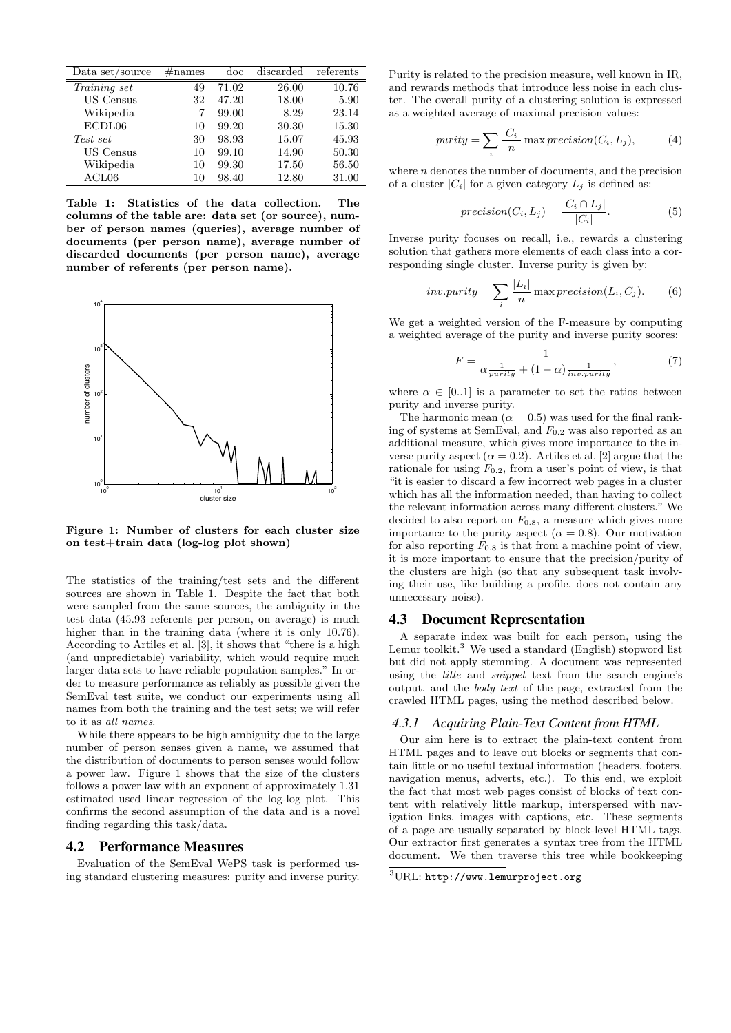| Data set/source    | $\#$ names | $\rm{doc}$ | discarded | referents |
|--------------------|------------|------------|-----------|-----------|
| Training set       | 49         | 71.02      | 26.00     | 10.76     |
| US Census          | 32         | 47.20      | 18.00     | 5.90      |
| Wikipedia          | 7          | 99.00      | 8.29      | 23.14     |
| ECDL <sub>06</sub> | 10         | 99.20      | 30.30     | 15.30     |
| Test set           | 30         | 98.93      | 15.07     | 45.93     |
| US Census          | 10         | 99.10      | 14.90     | 50.30     |
| Wikipedia          | 10         | 99.30      | 17.50     | 56.50     |
| ACL06              | 10         | 98.40      | 12.80     | 31.00     |

Table 1: Statistics of the data collection. The columns of the table are: data set (or source), number of person names (queries), average number of documents (per person name), average number of discarded documents (per person name), average number of referents (per person name).



Figure 1: Number of clusters for each cluster size on test+train data (log-log plot shown)

The statistics of the training/test sets and the different sources are shown in Table 1. Despite the fact that both were sampled from the same sources, the ambiguity in the test data (45.93 referents per person, on average) is much higher than in the training data (where it is only 10.76). According to Artiles et al. [3], it shows that "there is a high (and unpredictable) variability, which would require much larger data sets to have reliable population samples." In order to measure performance as reliably as possible given the SemEval test suite, we conduct our experiments using all names from both the training and the test sets; we will refer to it as all names.

While there appears to be high ambiguity due to the large number of person senses given a name, we assumed that the distribution of documents to person senses would follow a power law. Figure 1 shows that the size of the clusters follows a power law with an exponent of approximately 1.31 estimated used linear regression of the log-log plot. This confirms the second assumption of the data and is a novel finding regarding this task/data.

#### 4.2 Performance Measures

Evaluation of the SemEval WePS task is performed using standard clustering measures: purity and inverse purity. Purity is related to the precision measure, well known in IR, and rewards methods that introduce less noise in each cluster. The overall purity of a clustering solution is expressed as a weighted average of maximal precision values:

$$
purity = \sum_{i} \frac{|C_i|}{n} \max precision(C_i, L_j), \tag{4}
$$

where  $n$  denotes the number of documents, and the precision of a cluster  $|C_i|$  for a given category  $L_i$  is defined as:

$$
precision(C_i, L_j) = \frac{|C_i \cap L_j|}{|C_i|}.
$$
\n(5)

Inverse purity focuses on recall, i.e., rewards a clustering solution that gathers more elements of each class into a corresponding single cluster. Inverse purity is given by:

$$
inv.purity = \sum_{i} \frac{|L_i|}{n} \max precision(L_i, C_j). \tag{6}
$$

We get a weighted version of the F-measure by computing a weighted average of the purity and inverse purity scores:

$$
F = \frac{1}{\alpha \frac{1}{purity} + (1 - \alpha) \frac{1}{inv.purity}},\tag{7}
$$

where  $\alpha \in [0..1]$  is a parameter to set the ratios between purity and inverse purity.

The harmonic mean  $(\alpha = 0.5)$  was used for the final ranking of systems at SemEval, and  $F_{0,2}$  was also reported as an additional measure, which gives more importance to the inverse purity aspect ( $\alpha = 0.2$ ). Artiles et al. [2] argue that the rationale for using  $F_{0,2}$ , from a user's point of view, is that "it is easier to discard a few incorrect web pages in a cluster which has all the information needed, than having to collect the relevant information across many different clusters." We decided to also report on  $F_{0.8}$ , a measure which gives more importance to the purity aspect ( $\alpha = 0.8$ ). Our motivation for also reporting  $F_{0.8}$  is that from a machine point of view, it is more important to ensure that the precision/purity of the clusters are high (so that any subsequent task involving their use, like building a profile, does not contain any unnecessary noise).

#### 4.3 Document Representation

A separate index was built for each person, using the Lemur toolkit.<sup>3</sup> We used a standard (English) stopword list but did not apply stemming. A document was represented using the title and snippet text from the search engine's output, and the body text of the page, extracted from the crawled HTML pages, using the method described below.

## *4.3.1 Acquiring Plain-Text Content from HTML*

Our aim here is to extract the plain-text content from HTML pages and to leave out blocks or segments that contain little or no useful textual information (headers, footers, navigation menus, adverts, etc.). To this end, we exploit the fact that most web pages consist of blocks of text content with relatively little markup, interspersed with navigation links, images with captions, etc. These segments of a page are usually separated by block-level HTML tags. Our extractor first generates a syntax tree from the HTML document. We then traverse this tree while bookkeeping

 $^3\rm{URL:~http://www.1emurproject.org}$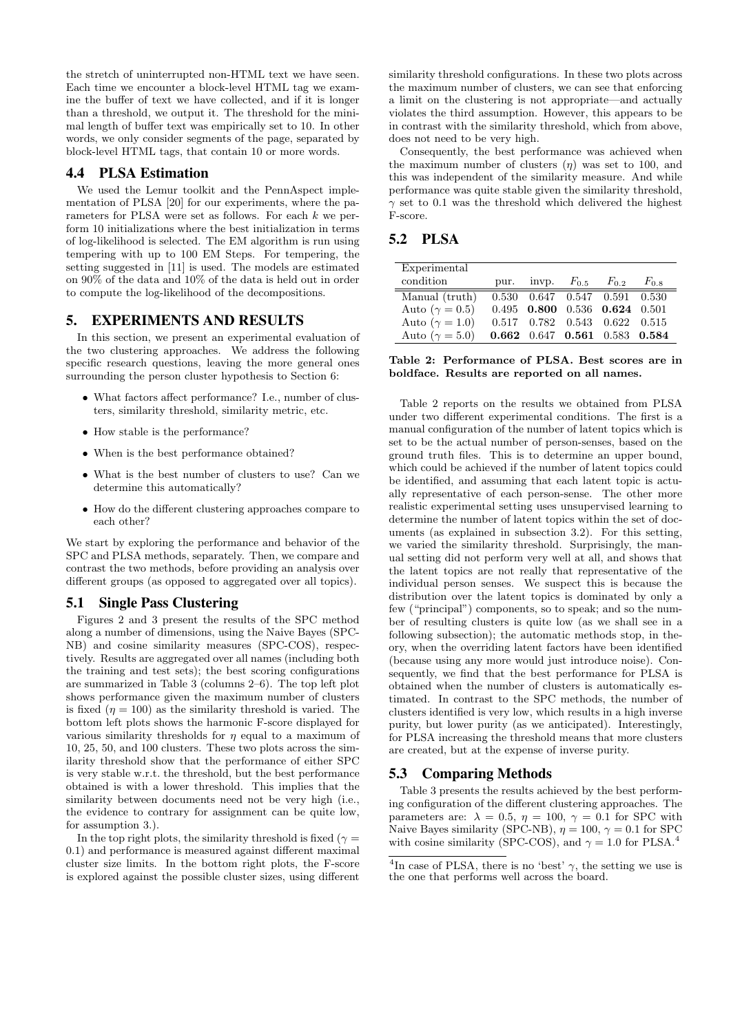the stretch of uninterrupted non-HTML text we have seen. Each time we encounter a block-level HTML tag we examine the buffer of text we have collected, and if it is longer than a threshold, we output it. The threshold for the minimal length of buffer text was empirically set to 10. In other words, we only consider segments of the page, separated by block-level HTML tags, that contain 10 or more words.

# 4.4 PLSA Estimation

We used the Lemur toolkit and the PennAspect implementation of PLSA [20] for our experiments, where the parameters for PLSA were set as follows. For each k we perform 10 initializations where the best initialization in terms of log-likelihood is selected. The EM algorithm is run using tempering with up to 100 EM Steps. For tempering, the setting suggested in [11] is used. The models are estimated on 90% of the data and 10% of the data is held out in order to compute the log-likelihood of the decompositions.

# 5. EXPERIMENTS AND RESULTS

In this section, we present an experimental evaluation of the two clustering approaches. We address the following specific research questions, leaving the more general ones surrounding the person cluster hypothesis to Section 6:

- What factors affect performance? I.e., number of clusters, similarity threshold, similarity metric, etc.
- How stable is the performance?
- When is the best performance obtained?
- What is the best number of clusters to use? Can we determine this automatically?
- How do the different clustering approaches compare to each other?

We start by exploring the performance and behavior of the SPC and PLSA methods, separately. Then, we compare and contrast the two methods, before providing an analysis over different groups (as opposed to aggregated over all topics).

## 5.1 Single Pass Clustering

Figures 2 and 3 present the results of the SPC method along a number of dimensions, using the Naive Bayes (SPC-NB) and cosine similarity measures (SPC-COS), respectively. Results are aggregated over all names (including both the training and test sets); the best scoring configurations are summarized in Table 3 (columns 2–6). The top left plot shows performance given the maximum number of clusters is fixed  $(\eta = 100)$  as the similarity threshold is varied. The bottom left plots shows the harmonic F-score displayed for various similarity thresholds for  $\eta$  equal to a maximum of 10, 25, 50, and 100 clusters. These two plots across the similarity threshold show that the performance of either SPC is very stable w.r.t. the threshold, but the best performance obtained is with a lower threshold. This implies that the similarity between documents need not be very high (i.e., the evidence to contrary for assignment can be quite low, for assumption 3.).

In the top right plots, the similarity threshold is fixed ( $\gamma =$ 0.1) and performance is measured against different maximal cluster size limits. In the bottom right plots, the F-score is explored against the possible cluster sizes, using different

similarity threshold configurations. In these two plots across the maximum number of clusters, we can see that enforcing a limit on the clustering is not appropriate—and actually violates the third assumption. However, this appears to be in contrast with the similarity threshold, which from above, does not need to be very high.

Consequently, the best performance was achieved when the maximum number of clusters  $(\eta)$  was set to 100, and this was independent of the similarity measure. And while performance was quite stable given the similarity threshold,  $\gamma$  set to 0.1 was the threshold which delivered the highest F-score.

| Experimental            |  |                                          |  |
|-------------------------|--|------------------------------------------|--|
| condition               |  | pur. invp. $F_{0.5}$ $F_{0.2}$ $F_{0.8}$ |  |
| Manual (truth)          |  | $0.530$ $0.647$ $0.547$ $0.591$ $0.530$  |  |
| Auto ( $\gamma = 0.5$ ) |  | $0.495$ $0.800$ $0.536$ $0.624$ $0.501$  |  |
| Auto ( $\gamma = 1.0$ ) |  | $0.517$ $0.782$ $0.543$ $0.622$ $0.515$  |  |
| Auto ( $\gamma = 5.0$ ) |  | 0.662 0.647 0.561 0.583 0.584            |  |

Table 2: Performance of PLSA. Best scores are in boldface. Results are reported on all names.

Table 2 reports on the results we obtained from PLSA under two different experimental conditions. The first is a manual configuration of the number of latent topics which is set to be the actual number of person-senses, based on the ground truth files. This is to determine an upper bound, which could be achieved if the number of latent topics could be identified, and assuming that each latent topic is actually representative of each person-sense. The other more realistic experimental setting uses unsupervised learning to determine the number of latent topics within the set of documents (as explained in subsection 3.2). For this setting, we varied the similarity threshold. Surprisingly, the manual setting did not perform very well at all, and shows that the latent topics are not really that representative of the individual person senses. We suspect this is because the distribution over the latent topics is dominated by only a few ("principal") components, so to speak; and so the number of resulting clusters is quite low (as we shall see in a following subsection); the automatic methods stop, in theory, when the overriding latent factors have been identified (because using any more would just introduce noise). Consequently, we find that the best performance for PLSA is obtained when the number of clusters is automatically estimated. In contrast to the SPC methods, the number of clusters identified is very low, which results in a high inverse purity, but lower purity (as we anticipated). Interestingly, for PLSA increasing the threshold means that more clusters are created, but at the expense of inverse purity.

## 5.3 Comparing Methods

Table 3 presents the results achieved by the best performing configuration of the different clustering approaches. The parameters are:  $\lambda = 0.5$ ,  $\eta = 100$ ,  $\gamma = 0.1$  for SPC with Naive Bayes similarity (SPC-NB),  $\eta = 100$ ,  $\gamma = 0.1$  for SPC with cosine similarity (SPC-COS), and  $\gamma = 1.0$  for PLSA.<sup>4</sup>

<sup>&</sup>lt;sup>4</sup>In case of PLSA, there is no 'best'  $\gamma$ , the setting we use is the one that performs well across the board.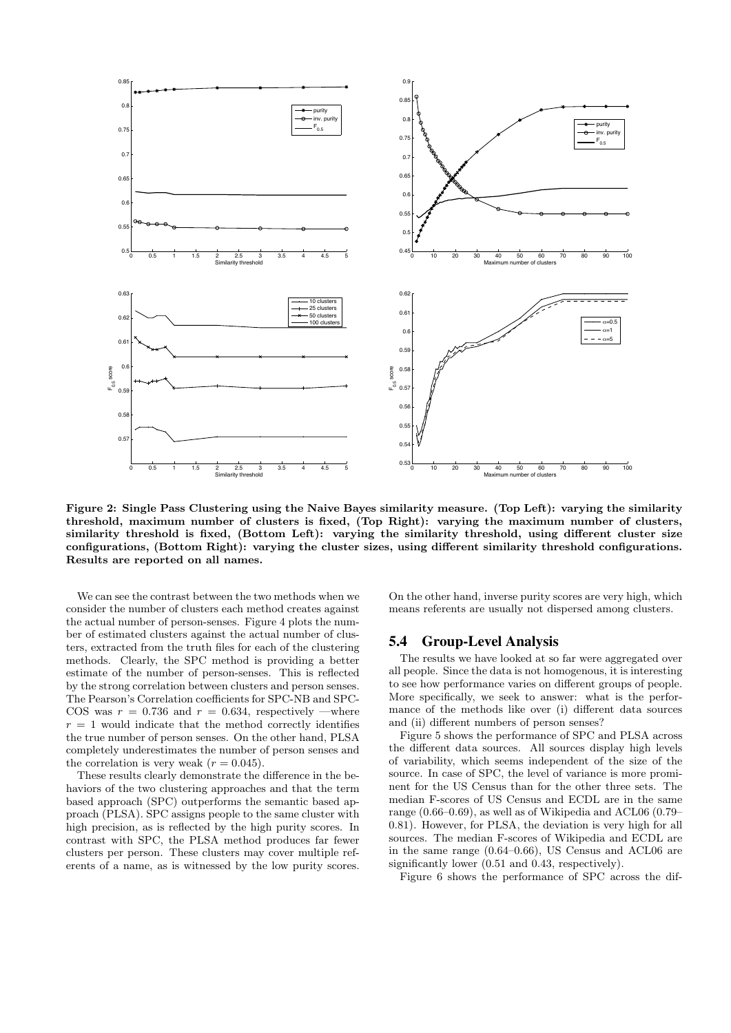

Figure 2: Single Pass Clustering using the Naive Bayes similarity measure. (Top Left): varying the similarity threshold, maximum number of clusters is fixed, (Top Right): varying the maximum number of clusters, similarity threshold is fixed, (Bottom Left): varying the similarity threshold, using different cluster size configurations, (Bottom Right): varying the cluster sizes, using different similarity threshold configurations. Results are reported on all names.

We can see the contrast between the two methods when we consider the number of clusters each method creates against the actual number of person-senses. Figure 4 plots the number of estimated clusters against the actual number of clusters, extracted from the truth files for each of the clustering methods. Clearly, the SPC method is providing a better estimate of the number of person-senses. This is reflected by the strong correlation between clusters and person senses. The Pearson's Correlation coefficients for SPC-NB and SPC-COS was  $r = 0.736$  and  $r = 0.634$ , respectively —where  $r = 1$  would indicate that the method correctly identifies the true number of person senses. On the other hand, PLSA completely underestimates the number of person senses and the correlation is very weak  $(r = 0.045)$ .

These results clearly demonstrate the difference in the behaviors of the two clustering approaches and that the term based approach (SPC) outperforms the semantic based approach (PLSA). SPC assigns people to the same cluster with high precision, as is reflected by the high purity scores. In contrast with SPC, the PLSA method produces far fewer clusters per person. These clusters may cover multiple referents of a name, as is witnessed by the low purity scores. On the other hand, inverse purity scores are very high, which means referents are usually not dispersed among clusters.

#### 5.4 Group-Level Analysis

The results we have looked at so far were aggregated over all people. Since the data is not homogenous, it is interesting to see how performance varies on different groups of people. More specifically, we seek to answer: what is the performance of the methods like over (i) different data sources and (ii) different numbers of person senses?

Figure 5 shows the performance of SPC and PLSA across the different data sources. All sources display high levels of variability, which seems independent of the size of the source. In case of SPC, the level of variance is more prominent for the US Census than for the other three sets. The median F-scores of US Census and ECDL are in the same range (0.66–0.69), as well as of Wikipedia and ACL06 (0.79– 0.81). However, for PLSA, the deviation is very high for all sources. The median F-scores of Wikipedia and ECDL are in the same range (0.64–0.66), US Census and ACL06 are significantly lower (0.51 and 0.43, respectively).

Figure 6 shows the performance of SPC across the dif-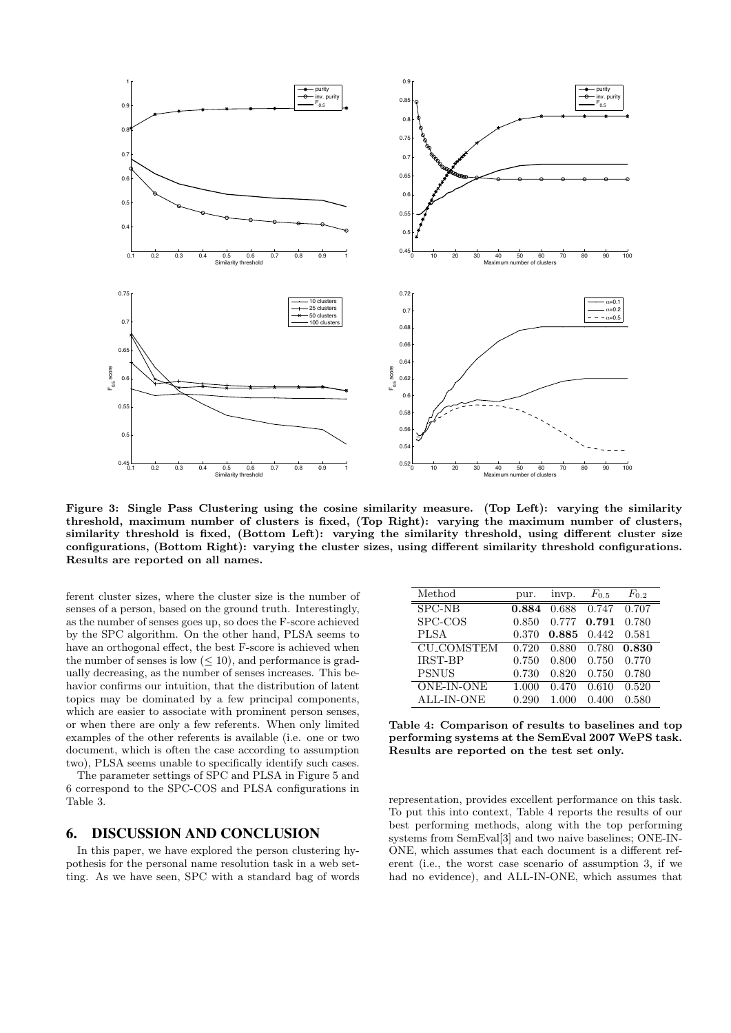

Figure 3: Single Pass Clustering using the cosine similarity measure. (Top Left): varying the similarity threshold, maximum number of clusters is fixed, (Top Right): varying the maximum number of clusters, similarity threshold is fixed, (Bottom Left): varying the similarity threshold, using different cluster size configurations, (Bottom Right): varying the cluster sizes, using different similarity threshold configurations. Results are reported on all names.

ferent cluster sizes, where the cluster size is the number of senses of a person, based on the ground truth. Interestingly, as the number of senses goes up, so does the F-score achieved by the SPC algorithm. On the other hand, PLSA seems to have an orthogonal effect, the best F-score is achieved when the number of senses is low  $(\leq 10)$ , and performance is gradually decreasing, as the number of senses increases. This behavior confirms our intuition, that the distribution of latent topics may be dominated by a few principal components, which are easier to associate with prominent person senses, or when there are only a few referents. When only limited examples of the other referents is available (i.e. one or two document, which is often the case according to assumption two), PLSA seems unable to specifically identify such cases.

The parameter settings of SPC and PLSA in Figure 5 and 6 correspond to the SPC-COS and PLSA configurations in Table 3.

## 6. DISCUSSION AND CONCLUSION

In this paper, we have explored the person clustering hypothesis for the personal name resolution task in a web setting. As we have seen, SPC with a standard bag of words

| Method                     | pur.  | invp. | $F_{0.5}$ | $F_{0,2}$ |
|----------------------------|-------|-------|-----------|-----------|
| $\overline{\text{SPC-NB}}$ | 0.884 | 0.688 | 0.747     | 0.707     |
| SPC-COS                    | 0.850 | 0.777 | 0.791     | 0.780     |
| <b>PLSA</b>                | 0.370 | 0.885 | 0.442     | 0.581     |
| <b>CU_COMSTEM</b>          | 0.720 | 0.880 | 0.780     | 0.830     |
| <b>IRST-BP</b>             | 0.750 | 0.800 | 0.750     | 0.770     |
| <b>PSNUS</b>               | 0.730 | 0.820 | 0.750     | 0.780     |
| <b>ONE-IN-ONE</b>          | 1.000 | 0.470 | 0.610     | 0.520     |
| ALL-IN-ONE                 | 0.290 | 1.000 | 0.400     | 0.580     |

Table 4: Comparison of results to baselines and top performing systems at the SemEval 2007 WePS task. Results are reported on the test set only.

representation, provides excellent performance on this task. To put this into context, Table 4 reports the results of our best performing methods, along with the top performing systems from SemEval[3] and two naive baselines; ONE-IN-ONE, which assumes that each document is a different referent (i.e., the worst case scenario of assumption 3, if we had no evidence), and ALL-IN-ONE, which assumes that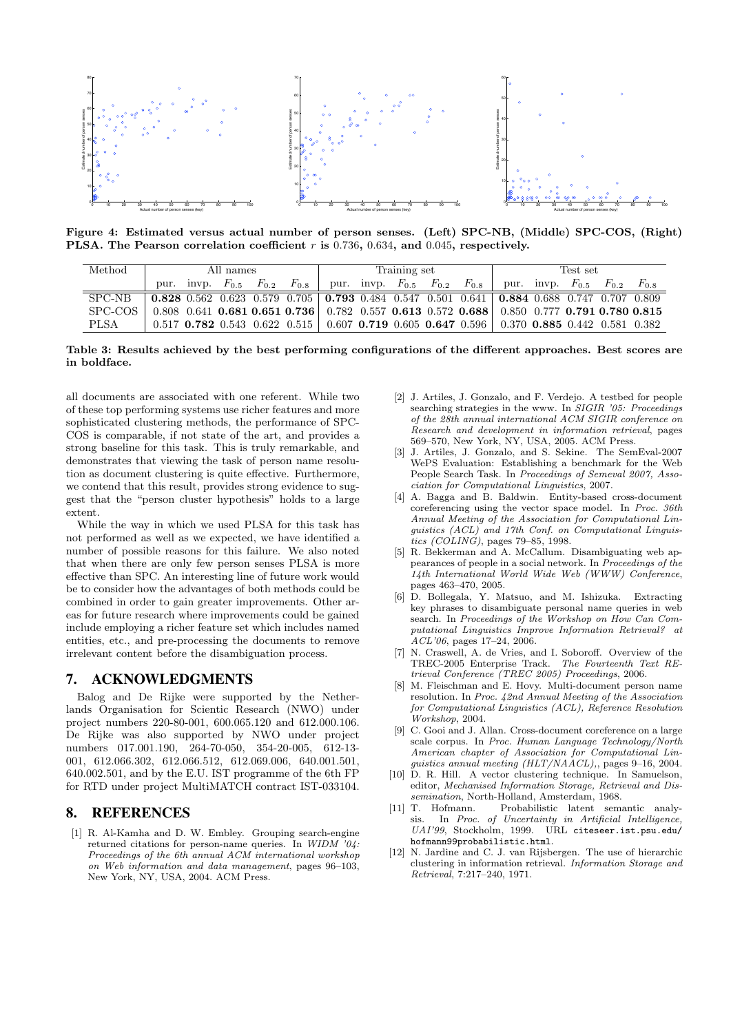

Figure 4: Estimated versus actual number of person senses. (Left) SPC-NB, (Middle) SPC-COS, (Right) **PLSA.** The Pearson correlation coefficient r is  $0.736$ ,  $0.634$ , and  $0.045$ , respectively.

| Method      | All names |  |  | Training set              |           |                                                                                                                             |  | Test set                       |  |  |                                            |  |  |  |           |
|-------------|-----------|--|--|---------------------------|-----------|-----------------------------------------------------------------------------------------------------------------------------|--|--------------------------------|--|--|--------------------------------------------|--|--|--|-----------|
|             | pur.      |  |  | invp. $F_{0.5}$ $F_{0.2}$ | $F_{0.8}$ |                                                                                                                             |  | pur. invp. $F_{0.5}$ $F_{0.2}$ |  |  | $F_{0.8}$   pur. invp. $F_{0.5}$ $F_{0.2}$ |  |  |  | $F_{0.8}$ |
| SPC-NB      |           |  |  |                           |           | 0.828 0.562 0.623 0.579 0.705   0.793 0.484 0.547 0.501 0.641   0.884 0.688 0.747 0.707 0.809                               |  |                                |  |  |                                            |  |  |  |           |
| SPC-COS     |           |  |  |                           |           | $0.808$ $0.641$ $0.681$ $0.651$ $0.736$   $0.782$ $0.557$ $0.613$ $0.572$ $0.688$   $0.850$ $0.777$ $0.791$ $0.780$ $0.815$ |  |                                |  |  |                                            |  |  |  |           |
| <b>PLSA</b> |           |  |  |                           |           | $0.517$ $0.782$ $0.543$ $0.622$ $0.515$   $0.607$ $0.719$ $0.605$ $0.647$ $0.596$   $0.370$ $0.885$ $0.442$ $0.581$ $0.382$ |  |                                |  |  |                                            |  |  |  |           |

Table 3: Results achieved by the best performing configurations of the different approaches. Best scores are in boldface.

all documents are associated with one referent. While two of these top performing systems use richer features and more sophisticated clustering methods, the performance of SPC-COS is comparable, if not state of the art, and provides a strong baseline for this task. This is truly remarkable, and demonstrates that viewing the task of person name resolution as document clustering is quite effective. Furthermore, we contend that this result, provides strong evidence to suggest that the "person cluster hypothesis" holds to a large extent.

While the way in which we used PLSA for this task has not performed as well as we expected, we have identified a number of possible reasons for this failure. We also noted that when there are only few person senses PLSA is more effective than SPC. An interesting line of future work would be to consider how the advantages of both methods could be combined in order to gain greater improvements. Other areas for future research where improvements could be gained include employing a richer feature set which includes named entities, etc., and pre-processing the documents to remove irrelevant content before the disambiguation process.

## 7. ACKNOWLEDGMENTS

Balog and De Rijke were supported by the Netherlands Organisation for Scientic Research (NWO) under project numbers 220-80-001, 600.065.120 and 612.000.106. De Rijke was also supported by NWO under project numbers 017.001.190, 264-70-050, 354-20-005, 612-13- 001, 612.066.302, 612.066.512, 612.069.006, 640.001.501, 640.002.501, and by the E.U. IST programme of the 6th FP for RTD under project MultiMATCH contract IST-033104.

## 8. REFERENCES

[1] R. Al-Kamha and D. W. Embley. Grouping search-engine returned citations for person-name queries. In WIDM '04: Proceedings of the 6th annual ACM international workshop on Web information and data management, pages 96–103, New York, NY, USA, 2004. ACM Press.

- [2] J. Artiles, J. Gonzalo, and F. Verdejo. A testbed for people searching strategies in the www. In SIGIR '05: Proceedings of the 28th annual international ACM SIGIR conference on Research and development in information retrieval, pages 569–570, New York, NY, USA, 2005. ACM Press.
- [3] J. Artiles, J. Gonzalo, and S. Sekine. The SemEval-2007 WePS Evaluation: Establishing a benchmark for the Web People Search Task. In Proceedings of Semeval 2007, Association for Computational Linguistics, 2007.
- [4] A. Bagga and B. Baldwin. Entity-based cross-document coreferencing using the vector space model. In Proc. 36th Annual Meeting of the Association for Computational Linguistics (ACL) and 17th Conf. on Computational Linguistics (COLING), pages  $79-85$ , 1998.
- [5] R. Bekkerman and A. McCallum. Disambiguating web appearances of people in a social network. In Proceedings of the 14th International World Wide Web (WWW) Conference, pages 463–470, 2005.
- [6] D. Bollegala, Y. Matsuo, and M. Ishizuka. Extracting key phrases to disambiguate personal name queries in web search. In Proceedings of the Workshop on How Can Computational Linguistics Improve Information Retrieval? at  $ACL'06$ , pages 17–24, 2006.
- [7] N. Craswell, A. de Vries, and I. Soboroff. Overview of the TREC-2005 Enterprise Track. The Fourteenth Text REtrieval Conference (TREC 2005) Proceedings, 2006.
- [8] M. Fleischman and E. Hovy. Multi-document person name resolution. In Proc. 42nd Annual Meeting of the Association for Computational Linguistics (ACL), Reference Resolution Workshop, 2004.
- [9] C. Gooi and J. Allan. Cross-document coreference on a large scale corpus. In Proc. Human Language Technology/North American chapter of Association for Computational Linguistics annual meeting (HLT/NAACL),, pages 9–16, 2004.
- [10] D. R. Hill. A vector clustering technique. In Samuelson, editor, Mechanised Information Storage, Retrieval and Dissemination, North-Holland, Amsterdam, 1968.
- [11] T. Hofmann. Probabilistic latent semantic analysis. In Proc. of Uncertainty in Artificial Intelligence, UAI'99, Stockholm, 1999. URL citeseer.ist.psu.edu/ hofmann99probabilistic.html.
- [12] N. Jardine and C. J. van Rijsbergen. The use of hierarchic clustering in information retrieval. Information Storage and Retrieval, 7:217–240, 1971.